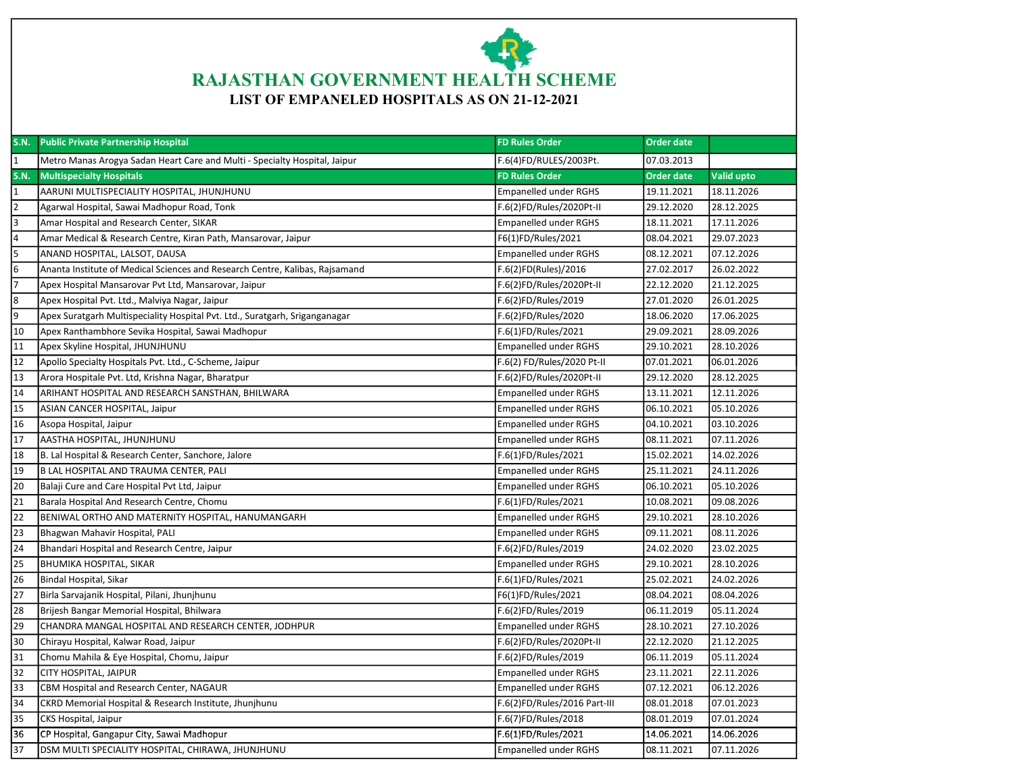

| <b>S.N.</b>             | <b>Public Private Partnership Hospital</b>                                   | <b>FD Rules Order</b>        | <b>Order date</b> |                   |
|-------------------------|------------------------------------------------------------------------------|------------------------------|-------------------|-------------------|
| $\mathbf{1}$            | Metro Manas Arogya Sadan Heart Care and Multi - Specialty Hospital, Jaipur   | F.6(4)FD/RULES/2003Pt.       | 07.03.2013        |                   |
| <b>S.N.</b>             | <b>Multispecialty Hospitals</b>                                              | <b>FD Rules Order</b>        | Order date        | <b>Valid upto</b> |
| $\mathbf{1}$            | AARUNI MULTISPECIALITY HOSPITAL, JHUNJHUNU                                   | <b>Empanelled under RGHS</b> | 19.11.2021        | 18.11.2026        |
| $\overline{2}$          | Agarwal Hospital, Sawai Madhopur Road, Tonk                                  | F.6(2)FD/Rules/2020Pt-II     | 29.12.2020        | 28.12.2025        |
| $\overline{\mathsf{a}}$ | Amar Hospital and Research Center, SIKAR                                     | <b>Empanelled under RGHS</b> | 18.11.2021        | 17.11.2026        |
| $\overline{4}$          | Amar Medical & Research Centre, Kiran Path, Mansarovar, Jaipur               | F6(1)FD/Rules/2021           | 08.04.2021        | 29.07.2023        |
| 5                       | ANAND HOSPITAL, LALSOT, DAUSA                                                | Empanelled under RGHS        | 08.12.2021        | 07.12.2026        |
| $\overline{6}$          | Ananta Institute of Medical Sciences and Research Centre, Kalibas, Rajsamand | F.6(2)FD(Rules)/2016         | 27.02.2017        | 26.02.2022        |
| 7                       | Apex Hospital Mansarovar Pvt Ltd, Mansarovar, Jaipur                         | F.6(2)FD/Rules/2020Pt-II     | 22.12.2020        | 21.12.2025        |
| $\overline{8}$          | Apex Hospital Pvt. Ltd., Malviya Nagar, Jaipur                               | F.6(2)FD/Rules/2019          | 27.01.2020        | 26.01.2025        |
| 9                       | Apex Suratgarh Multispeciality Hospital Pvt. Ltd., Suratgarh, Sriganganagar  | F.6(2)FD/Rules/2020          | 18.06.2020        | 17.06.2025        |
| $\overline{10}$         | Apex Ranthambhore Sevika Hospital, Sawai Madhopur                            | F.6(1)FD/Rules/2021          | 29.09.2021        | 28.09.2026        |
| $\overline{11}$         | Apex Skyline Hospital, JHUNJHUNU                                             | Empanelled under RGHS        | 29.10.2021        | 28.10.2026        |
| $\overline{12}$         | Apollo Specialty Hospitals Pvt. Ltd., C-Scheme, Jaipur                       | F.6(2) FD/Rules/2020 Pt-II   | 07.01.2021        | 06.01.2026        |
| $\overline{13}$         | Arora Hospitale Pvt. Ltd, Krishna Nagar, Bharatpur                           | F.6(2)FD/Rules/2020Pt-II     | 29.12.2020        | 28.12.2025        |
| 14                      | ARIHANT HOSPITAL AND RESEARCH SANSTHAN, BHILWARA                             | Empanelled under RGHS        | 13.11.2021        | 12.11.2026        |
| 15                      | ASIAN CANCER HOSPITAL, Jaipur                                                | Empanelled under RGHS        | 06.10.2021        | 05.10.2026        |
| 16                      | Asopa Hospital, Jaipur                                                       | Empanelled under RGHS        | 04.10.2021        | 03.10.2026        |
| $\overline{17}$         | AASTHA HOSPITAL, JHUNJHUNU                                                   | Empanelled under RGHS        | 08.11.2021        | 07.11.2026        |
| 18                      | B. Lal Hospital & Research Center, Sanchore, Jalore                          | F.6(1)FD/Rules/2021          | 15.02.2021        | 14.02.2026        |
| 19                      | B LAL HOSPITAL AND TRAUMA CENTER, PALI                                       | <b>Empanelled under RGHS</b> | 25.11.2021        | 24.11.2026        |
| 20                      | Balaji Cure and Care Hospital Pvt Ltd, Jaipur                                | <b>Empanelled under RGHS</b> | 06.10.2021        | 05.10.2026        |
| $\overline{21}$         | Barala Hospital And Research Centre, Chomu                                   | F.6(1)FD/Rules/2021          | 10.08.2021        | 09.08.2026        |
| $\overline{22}$         | BENIWAL ORTHO AND MATERNITY HOSPITAL, HANUMANGARH                            | <b>Empanelled under RGHS</b> | 29.10.2021        | 28.10.2026        |
| 23                      | Bhagwan Mahavir Hospital, PALI                                               | Empanelled under RGHS        | 09.11.2021        | 08.11.2026        |
| $\overline{24}$         | Bhandari Hospital and Research Centre, Jaipur                                | F.6(2)FD/Rules/2019          | 24.02.2020        | 23.02.2025        |
| $\overline{25}$         | BHUMIKA HOSPITAL, SIKAR                                                      | Empanelled under RGHS        | 29.10.2021        | 28.10.2026        |
| $\overline{26}$         | Bindal Hospital, Sikar                                                       | F.6(1)FD/Rules/2021          | 25.02.2021        | 24.02.2026        |
| 27                      | Birla Sarvajanik Hospital, Pilani, Jhunjhunu                                 | F6(1)FD/Rules/2021           | 08.04.2021        | 08.04.2026        |
| 28                      | Brijesh Bangar Memorial Hospital, Bhilwara                                   | F.6(2)FD/Rules/2019          | 06.11.2019        | 05.11.2024        |
| 29                      | CHANDRA MANGAL HOSPITAL AND RESEARCH CENTER, JODHPUR                         | <b>Empanelled under RGHS</b> | 28.10.2021        | 27.10.2026        |
| 30                      | Chirayu Hospital, Kalwar Road, Jaipur                                        | F.6(2)FD/Rules/2020Pt-II     | 22.12.2020        | 21.12.2025        |
| $\overline{31}$         | Chomu Mahila & Eye Hospital, Chomu, Jaipur                                   | F.6(2)FD/Rules/2019          | 06.11.2019        | 05.11.2024        |
| $\overline{32}$         | CITY HOSPITAL, JAIPUR                                                        | <b>Empanelled under RGHS</b> | 23.11.2021        | 22.11.2026        |
| $\overline{33}$         | CBM Hospital and Research Center, NAGAUR                                     | Empanelled under RGHS        | 07.12.2021        | 06.12.2026        |
| 34                      | CKRD Memorial Hospital & Research Institute, Jhunjhunu                       | F.6(2)FD/Rules/2016 Part-III | 08.01.2018        | 07.01.2023        |
| 35                      | CKS Hospital, Jaipur                                                         | F.6(7)FD/Rules/2018          | 08.01.2019        | 07.01.2024        |
| 36                      | CP Hospital, Gangapur City, Sawai Madhopur                                   | F.6(1)FD/Rules/2021          | 14.06.2021        | 14.06.2026        |
| 37                      | DSM MULTI SPECIALITY HOSPITAL, CHIRAWA, JHUNJHUNU                            | <b>Empanelled under RGHS</b> | 08.11.2021        | 07.11.2026        |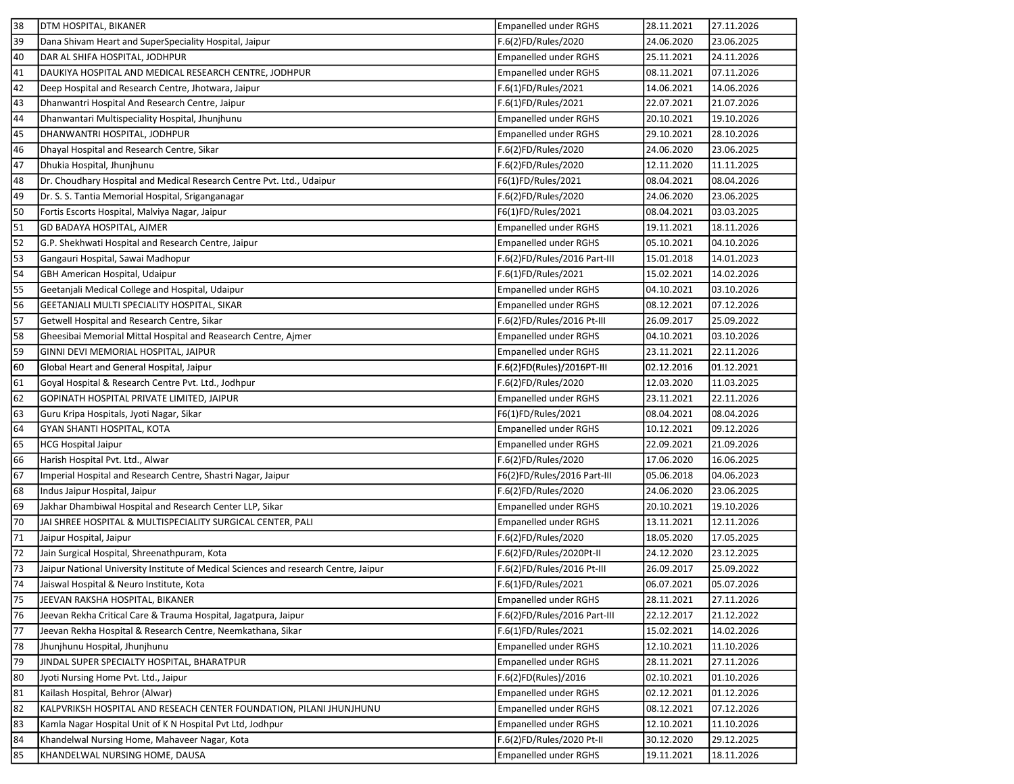| 38 | DTM HOSPITAL, BIKANER                                                                | Empanelled under RGHS        | 28.11.2021 | 27.11.2026 |
|----|--------------------------------------------------------------------------------------|------------------------------|------------|------------|
| 39 | Dana Shivam Heart and SuperSpeciality Hospital, Jaipur                               | F.6(2)FD/Rules/2020          | 24.06.2020 | 23.06.2025 |
| 40 | DAR AL SHIFA HOSPITAL, JODHPUR                                                       | <b>Empanelled under RGHS</b> | 25.11.2021 | 24.11.2026 |
| 41 | DAUKIYA HOSPITAL AND MEDICAL RESEARCH CENTRE, JODHPUR                                | <b>Empanelled under RGHS</b> | 08.11.2021 | 07.11.2026 |
| 42 | Deep Hospital and Research Centre, Jhotwara, Jaipur                                  | F.6(1)FD/Rules/2021          | 14.06.2021 | 14.06.2026 |
| 43 | Dhanwantri Hospital And Research Centre, Jaipur                                      | F.6(1)FD/Rules/2021          | 22.07.2021 | 21.07.2026 |
| 44 | Dhanwantari Multispeciality Hospital, Jhunjhunu                                      | <b>Empanelled under RGHS</b> | 20.10.2021 | 19.10.2026 |
| 45 | DHANWANTRI HOSPITAL, JODHPUR                                                         | <b>Empanelled under RGHS</b> | 29.10.2021 | 28.10.2026 |
| 46 | Dhayal Hospital and Research Centre, Sikar                                           | F.6(2)FD/Rules/2020          | 24.06.2020 | 23.06.2025 |
| 47 | Dhukia Hospital, Jhunjhunu                                                           | F.6(2)FD/Rules/2020          | 12.11.2020 | 11.11.2025 |
| 48 | Dr. Choudhary Hospital and Medical Research Centre Pvt. Ltd., Udaipur                | F6(1)FD/Rules/2021           | 08.04.2021 | 08.04.2026 |
| 49 | Dr. S. S. Tantia Memorial Hospital, Sriganganagar                                    | F.6(2)FD/Rules/2020          | 24.06.2020 | 23.06.2025 |
| 50 | Fortis Escorts Hospital, Malviya Nagar, Jaipur                                       | F6(1)FD/Rules/2021           | 08.04.2021 | 03.03.2025 |
| 51 | GD BADAYA HOSPITAL, AJMER                                                            | Empanelled under RGHS        | 19.11.2021 | 18.11.2026 |
| 52 | G.P. Shekhwati Hospital and Research Centre, Jaipur                                  | Empanelled under RGHS        | 05.10.2021 | 04.10.2026 |
| 53 | Gangauri Hospital, Sawai Madhopur                                                    | F.6(2)FD/Rules/2016 Part-III | 15.01.2018 | 14.01.2023 |
| 54 | GBH American Hospital, Udaipur                                                       | F.6(1)FD/Rules/2021          | 15.02.2021 | 14.02.2026 |
| 55 | Geetanjali Medical College and Hospital, Udaipur                                     | Empanelled under RGHS        | 04.10.2021 | 03.10.2026 |
| 56 | GEETANJALI MULTI SPECIALITY HOSPITAL, SIKAR                                          | Empanelled under RGHS        | 08.12.2021 | 07.12.2026 |
| 57 | Getwell Hospital and Research Centre, Sikar                                          | F.6(2)FD/Rules/2016 Pt-III   | 26.09.2017 | 25.09.2022 |
| 58 | Gheesibai Memorial Mittal Hospital and Reasearch Centre, Ajmer                       | Empanelled under RGHS        | 04.10.2021 | 03.10.2026 |
| 59 | GINNI DEVI MEMORIAL HOSPITAL, JAIPUR                                                 | <b>Empanelled under RGHS</b> | 23.11.2021 | 22.11.2026 |
| 60 | Global Heart and General Hospital, Jaipur                                            | F.6(2)FD(Rules)/2016PT-III   | 02.12.2016 | 01.12.2021 |
| 61 | Goyal Hospital & Research Centre Pvt. Ltd., Jodhpur                                  | F.6(2)FD/Rules/2020          | 12.03.2020 | 11.03.2025 |
| 62 | GOPINATH HOSPITAL PRIVATE LIMITED, JAIPUR                                            | <b>Empanelled under RGHS</b> | 23.11.2021 | 22.11.2026 |
| 63 | Guru Kripa Hospitals, Jyoti Nagar, Sikar                                             | F6(1)FD/Rules/2021           | 08.04.2021 | 08.04.2026 |
| 64 | GYAN SHANTI HOSPITAL, KOTA                                                           | Empanelled under RGHS        | 10.12.2021 | 09.12.2026 |
| 65 | <b>HCG Hospital Jaipur</b>                                                           | Empanelled under RGHS        | 22.09.2021 | 21.09.2026 |
| 66 | Harish Hospital Pvt. Ltd., Alwar                                                     | F.6(2)FD/Rules/2020          | 17.06.2020 | 16.06.2025 |
| 67 | Imperial Hospital and Research Centre, Shastri Nagar, Jaipur                         | F6(2)FD/Rules/2016 Part-III  | 05.06.2018 | 04.06.2023 |
| 68 | Indus Jaipur Hospital, Jaipur                                                        | F.6(2)FD/Rules/2020          | 24.06.2020 | 23.06.2025 |
| 69 | Jakhar Dhambiwal Hospital and Research Center LLP, Sikar                             | <b>Empanelled under RGHS</b> | 20.10.2021 | 19.10.2026 |
| 70 | JAI SHREE HOSPITAL & MULTISPECIALITY SURGICAL CENTER, PALI                           | Empanelled under RGHS        | 13.11.2021 | 12.11.2026 |
| 71 | Jaipur Hospital, Jaipur                                                              | F.6(2)FD/Rules/2020          | 18.05.2020 | 17.05.2025 |
| 72 | Jain Surgical Hospital, Shreenathpuram, Kota                                         | F.6(2)FD/Rules/2020Pt-II     | 24.12.2020 | 23.12.2025 |
| 73 | Jaipur National University Institute of Medical Sciences and research Centre, Jaipur | F.6(2)FD/Rules/2016 Pt-III   | 26.09.2017 | 25.09.2022 |
| 74 | Jaiswal Hospital & Neuro Institute, Kota                                             | F.6(1)FD/Rules/2021          | 06.07.2021 | 05.07.2026 |
| 75 | JEEVAN RAKSHA HOSPITAL, BIKANER                                                      | Empanelled under RGHS        | 28.11.2021 | 27.11.2026 |
| 76 | Jeevan Rekha Critical Care & Trauma Hospital, Jagatpura, Jaipur                      | F.6(2)FD/Rules/2016 Part-III | 22.12.2017 | 21.12.2022 |
| 77 | Jeevan Rekha Hospital & Research Centre, Neemkathana, Sikar                          | F.6(1)FD/Rules/2021          | 15.02.2021 | 14.02.2026 |
| 78 | Jhunjhunu Hospital, Jhunjhunu                                                        | <b>Empanelled under RGHS</b> | 12.10.2021 | 11.10.2026 |
| 79 | JINDAL SUPER SPECIALTY HOSPITAL, BHARATPUR                                           | <b>Empanelled under RGHS</b> | 28.11.2021 | 27.11.2026 |
| 80 | Jyoti Nursing Home Pvt. Ltd., Jaipur                                                 | F.6(2)FD(Rules)/2016         | 02.10.2021 | 01.10.2026 |
| 81 | Kailash Hospital, Behror (Alwar)                                                     | <b>Empanelled under RGHS</b> | 02.12.2021 | 01.12.2026 |
| 82 | KALPVRIKSH HOSPITAL AND RESEACH CENTER FOUNDATION, PILANI JHUNJHUNU                  | <b>Empanelled under RGHS</b> | 08.12.2021 | 07.12.2026 |
| 83 | Kamla Nagar Hospital Unit of K N Hospital Pvt Ltd, Jodhpur                           | Empanelled under RGHS        | 12.10.2021 | 11.10.2026 |
| 84 | Khandelwal Nursing Home, Mahaveer Nagar, Kota                                        | F.6(2)FD/Rules/2020 Pt-II    | 30.12.2020 | 29.12.2025 |
| 85 | KHANDELWAL NURSING HOME, DAUSA                                                       | <b>Empanelled under RGHS</b> | 19.11.2021 | 18.11.2026 |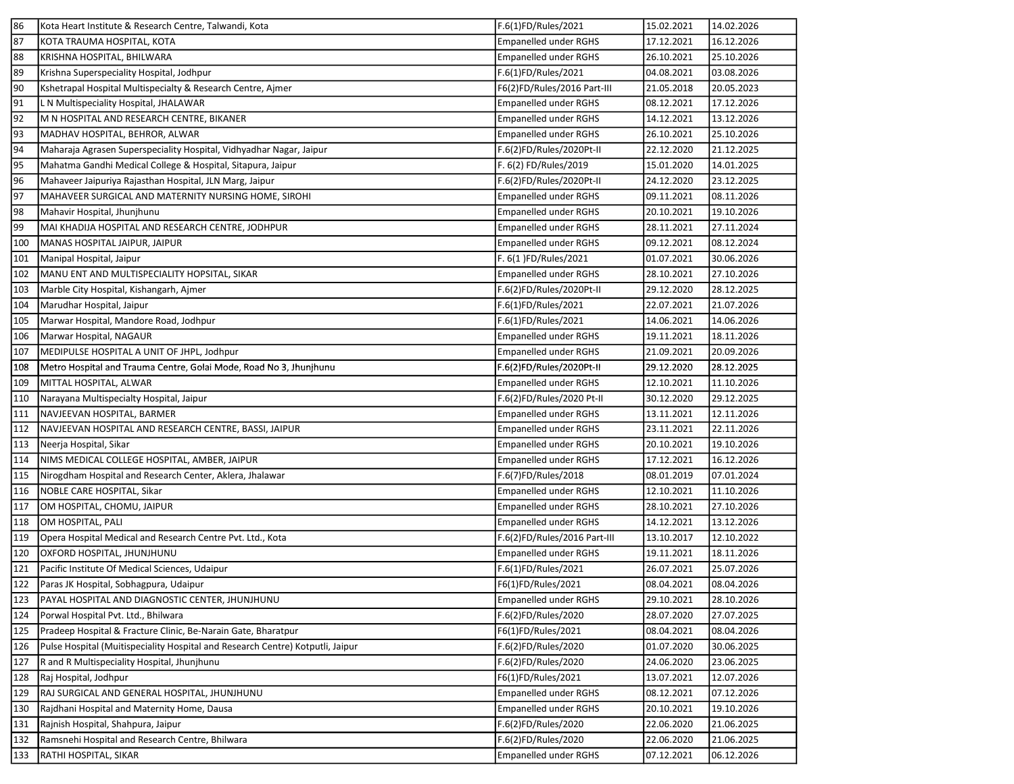| 86  | Kota Heart Institute & Research Centre, Talwandi, Kota                         | F.6(1)FD/Rules/2021          | 15.02.2021 | 14.02.2026 |
|-----|--------------------------------------------------------------------------------|------------------------------|------------|------------|
| 87  | KOTA TRAUMA HOSPITAL, KOTA                                                     | Empanelled under RGHS        | 17.12.2021 | 16.12.2026 |
| 88  | KRISHNA HOSPITAL, BHILWARA                                                     | <b>Empanelled under RGHS</b> | 26.10.2021 | 25.10.2026 |
| 89  | Krishna Superspeciality Hospital, Jodhpur                                      | F.6(1)FD/Rules/2021          | 04.08.2021 | 03.08.2026 |
| 90  | Kshetrapal Hospital Multispecialty & Research Centre, Ajmer                    | F6(2)FD/Rules/2016 Part-III  | 21.05.2018 | 20.05.2023 |
| 91  | L N Multispeciality Hospital, JHALAWAR                                         | <b>Empanelled under RGHS</b> | 08.12.2021 | 17.12.2026 |
| 92  | M N HOSPITAL AND RESEARCH CENTRE, BIKANER                                      | <b>Empanelled under RGHS</b> | 14.12.2021 | 13.12.2026 |
| 93  | MADHAV HOSPITAL, BEHROR, ALWAR                                                 | <b>Empanelled under RGHS</b> | 26.10.2021 | 25.10.2026 |
| 94  | Maharaja Agrasen Superspeciality Hospital, Vidhyadhar Nagar, Jaipur            | F.6(2)FD/Rules/2020Pt-II     | 22.12.2020 | 21.12.2025 |
| 95  | Mahatma Gandhi Medical College & Hospital, Sitapura, Jaipur                    | F. 6(2) FD/Rules/2019        | 15.01.2020 | 14.01.2025 |
| 96  | Mahaveer Jaipuriya Rajasthan Hospital, JLN Marg, Jaipur                        | F.6(2)FD/Rules/2020Pt-II     | 24.12.2020 | 23.12.2025 |
| 97  | MAHAVEER SURGICAL AND MATERNITY NURSING HOME, SIROHI                           | <b>Empanelled under RGHS</b> | 09.11.2021 | 08.11.2026 |
| 98  | Mahavir Hospital, Jhunjhunu                                                    | <b>Empanelled under RGHS</b> | 20.10.2021 | 19.10.2026 |
| 99  | MAI KHADIJA HOSPITAL AND RESEARCH CENTRE, JODHPUR                              | Empanelled under RGHS        | 28.11.2021 | 27.11.2024 |
| 100 | MANAS HOSPITAL JAIPUR, JAIPUR                                                  | Empanelled under RGHS        | 09.12.2021 | 08.12.2024 |
| 101 | Manipal Hospital, Jaipur                                                       | F. 6(1)FD/Rules/2021         | 01.07.2021 | 30.06.2026 |
| 102 | MANU ENT AND MULTISPECIALITY HOPSITAL, SIKAR                                   | <b>Empanelled under RGHS</b> | 28.10.2021 | 27.10.2026 |
| 103 | Marble City Hospital, Kishangarh, Ajmer                                        | F.6(2)FD/Rules/2020Pt-II     | 29.12.2020 | 28.12.2025 |
| 104 | Marudhar Hospital, Jaipur                                                      | F.6(1)FD/Rules/2021          | 22.07.2021 | 21.07.2026 |
| 105 | Marwar Hospital, Mandore Road, Jodhpur                                         | F.6(1)FD/Rules/2021          | 14.06.2021 | 14.06.2026 |
| 106 | Marwar Hospital, NAGAUR                                                        | <b>Empanelled under RGHS</b> | 19.11.2021 | 18.11.2026 |
| 107 | MEDIPULSE HOSPITAL A UNIT OF JHPL, Jodhpur                                     | Empanelled under RGHS        | 21.09.2021 | 20.09.2026 |
| 108 | Metro Hospital and Trauma Centre, Golai Mode, Road No 3, Jhunjhunu             | F.6(2)FD/Rules/2020Pt-II     | 29.12.2020 | 28.12.2025 |
| 109 | MITTAL HOSPITAL, ALWAR                                                         | Empanelled under RGHS        | 12.10.2021 | 11.10.2026 |
| 110 | Narayana Multispecialty Hospital, Jaipur                                       | F.6(2)FD/Rules/2020 Pt-II    | 30.12.2020 | 29.12.2025 |
| 111 | NAVJEEVAN HOSPITAL, BARMER                                                     | Empanelled under RGHS        | 13.11.2021 | 12.11.2026 |
| 112 | NAVJEEVAN HOSPITAL AND RESEARCH CENTRE, BASSI, JAIPUR                          | Empanelled under RGHS        | 23.11.2021 | 22.11.2026 |
| 113 | Neerja Hospital, Sikar                                                         | Empanelled under RGHS        | 20.10.2021 | 19.10.2026 |
| 114 | NIMS MEDICAL COLLEGE HOSPITAL, AMBER, JAIPUR                                   | Empanelled under RGHS        | 17.12.2021 | 16.12.2026 |
| 115 | Nirogdham Hospital and Research Center, Aklera, Jhalawar                       | F.6(7)FD/Rules/2018          | 08.01.2019 | 07.01.2024 |
| 116 | NOBLE CARE HOSPITAL, Sikar                                                     | Empanelled under RGHS        | 12.10.2021 | 11.10.2026 |
| 117 | OM HOSPITAL, CHOMU, JAIPUR                                                     | Empanelled under RGHS        | 28.10.2021 | 27.10.2026 |
| 118 | OM HOSPITAL, PALI                                                              | <b>Empanelled under RGHS</b> | 14.12.2021 | 13.12.2026 |
| 119 | Opera Hospital Medical and Research Centre Pvt. Ltd., Kota                     | F.6(2)FD/Rules/2016 Part-III | 13.10.2017 | 12.10.2022 |
| 120 | OXFORD HOSPITAL, JHUNJHUNU                                                     | Empanelled under RGHS        | 19.11.2021 | 18.11.2026 |
| 121 | Pacific Institute Of Medical Sciences, Udaipur                                 | F.6(1)FD/Rules/2021          | 26.07.2021 | 25.07.2026 |
| 122 | Paras JK Hospital, Sobhagpura, Udaipur                                         | F6(1)FD/Rules/2021           | 08.04.2021 | 08.04.2026 |
| 123 | PAYAL HOSPITAL AND DIAGNOSTIC CENTER, JHUNJHUNU                                | <b>Empanelled under RGHS</b> | 29.10.2021 | 28.10.2026 |
| 124 | Porwal Hospital Pvt. Ltd., Bhilwara                                            | F.6(2)FD/Rules/2020          | 28.07.2020 | 27.07.2025 |
| 125 | Pradeep Hospital & Fracture Clinic, Be-Narain Gate, Bharatpur                  | F6(1)FD/Rules/2021           | 08.04.2021 | 08.04.2026 |
| 126 | Pulse Hospital (Muitispeciality Hospital and Research Centre) Kotputli, Jaipur | F.6(2)FD/Rules/2020          | 01.07.2020 | 30.06.2025 |
| 127 | R and R Multispeciality Hospital, Jhunjhunu                                    | F.6(2)FD/Rules/2020          | 24.06.2020 | 23.06.2025 |
| 128 | Raj Hospital, Jodhpur                                                          | F6(1)FD/Rules/2021           | 13.07.2021 | 12.07.2026 |
| 129 | RAJ SURGICAL AND GENERAL HOSPITAL, JHUNJHUNU                                   | <b>Empanelled under RGHS</b> | 08.12.2021 | 07.12.2026 |
| 130 | Rajdhani Hospital and Maternity Home, Dausa                                    | <b>Empanelled under RGHS</b> | 20.10.2021 | 19.10.2026 |
| 131 | Rajnish Hospital, Shahpura, Jaipur                                             | F.6(2)FD/Rules/2020          | 22.06.2020 | 21.06.2025 |
| 132 | Ramsnehi Hospital and Research Centre, Bhilwara                                | F.6(2)FD/Rules/2020          | 22.06.2020 | 21.06.2025 |
| 133 | RATHI HOSPITAL, SIKAR                                                          | <b>Empanelled under RGHS</b> | 07.12.2021 | 06.12.2026 |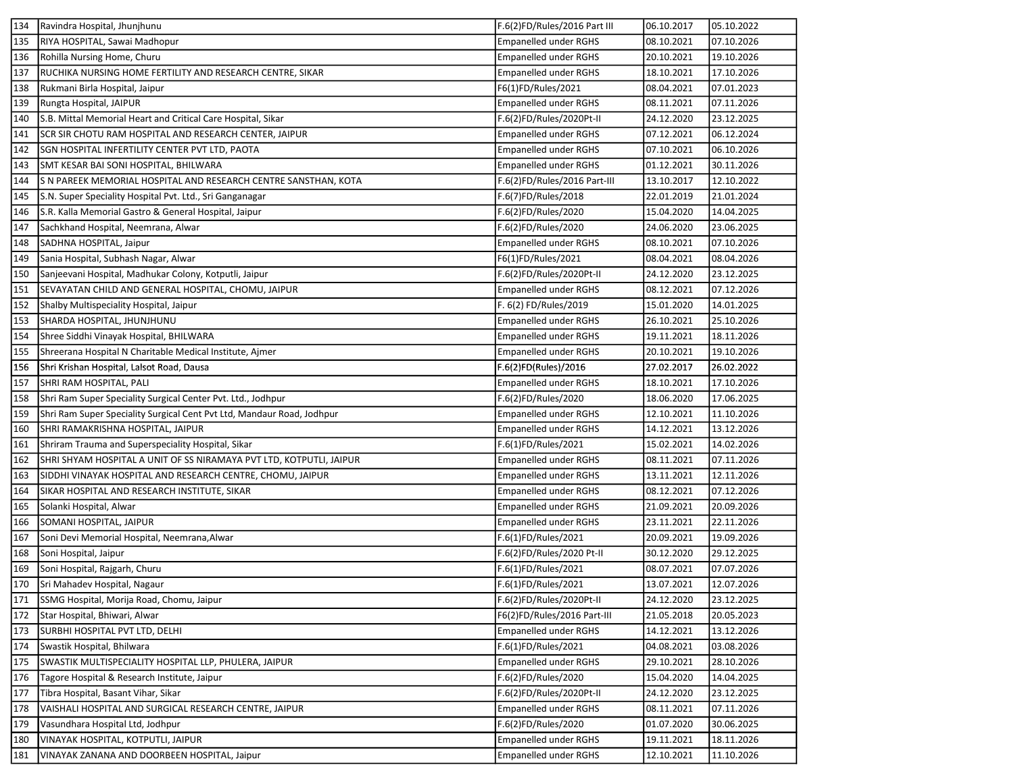| 134 | Ravindra Hospital, Jhunjhunu                                           | F.6(2)FD/Rules/2016 Part III | 06.10.2017 | 05.10.2022 |
|-----|------------------------------------------------------------------------|------------------------------|------------|------------|
| 135 | RIYA HOSPITAL, Sawai Madhopur                                          | Empanelled under RGHS        | 08.10.2021 | 07.10.2026 |
| 136 | Rohilla Nursing Home, Churu                                            | <b>Empanelled under RGHS</b> | 20.10.2021 | 19.10.2026 |
| 137 | RUCHIKA NURSING HOME FERTILITY AND RESEARCH CENTRE, SIKAR              | <b>Empanelled under RGHS</b> | 18.10.2021 | 17.10.2026 |
| 138 | Rukmani Birla Hospital, Jaipur                                         | F6(1)FD/Rules/2021           | 08.04.2021 | 07.01.2023 |
| 139 | Rungta Hospital, JAIPUR                                                | Empanelled under RGHS        | 08.11.2021 | 07.11.2026 |
| 140 | S.B. Mittal Memorial Heart and Critical Care Hospital, Sikar           | F.6(2)FD/Rules/2020Pt-II     | 24.12.2020 | 23.12.2025 |
| 141 | SCR SIR CHOTU RAM HOSPITAL AND RESEARCH CENTER, JAIPUR                 | Empanelled under RGHS        | 07.12.2021 | 06.12.2024 |
| 142 | SGN HOSPITAL INFERTILITY CENTER PVT LTD, PAOTA                         | <b>Empanelled under RGHS</b> | 07.10.2021 | 06.10.2026 |
| 143 | SMT KESAR BAI SONI HOSPITAL, BHILWARA                                  | <b>Empanelled under RGHS</b> | 01.12.2021 | 30.11.2026 |
| 144 | S N PAREEK MEMORIAL HOSPITAL AND RESEARCH CENTRE SANSTHAN, KOTA        | F.6(2)FD/Rules/2016 Part-III | 13.10.2017 | 12.10.2022 |
| 145 | S.N. Super Speciality Hospital Pvt. Ltd., Sri Ganganagar               | F.6(7)FD/Rules/2018          | 22.01.2019 | 21.01.2024 |
| 146 | S.R. Kalla Memorial Gastro & General Hospital, Jaipur                  | F.6(2)FD/Rules/2020          | 15.04.2020 | 14.04.2025 |
| 147 | Sachkhand Hospital, Neemrana, Alwar                                    | F.6(2)FD/Rules/2020          | 24.06.2020 | 23.06.2025 |
| 148 | SADHNA HOSPITAL, Jaipur                                                | <b>Empanelled under RGHS</b> | 08.10.2021 | 07.10.2026 |
| 149 | Sania Hospital, Subhash Nagar, Alwar                                   | F6(1)FD/Rules/2021           | 08.04.2021 | 08.04.2026 |
| 150 | Sanjeevani Hospital, Madhukar Colony, Kotputli, Jaipur                 | F.6(2)FD/Rules/2020Pt-II     | 24.12.2020 | 23.12.2025 |
| 151 | SEVAYATAN CHILD AND GENERAL HOSPITAL, CHOMU, JAIPUR                    | Empanelled under RGHS        | 08.12.2021 | 07.12.2026 |
| 152 | Shalby Multispeciality Hospital, Jaipur                                | F. 6(2) FD/Rules/2019        | 15.01.2020 | 14.01.2025 |
| 153 | SHARDA HOSPITAL, JHUNJHUNU                                             | Empanelled under RGHS        | 26.10.2021 | 25.10.2026 |
| 154 | Shree Siddhi Vinayak Hospital, BHILWARA                                | Empanelled under RGHS        | 19.11.2021 | 18.11.2026 |
| 155 | Shreerana Hospital N Charitable Medical Institute, Ajmer               | Empanelled under RGHS        | 20.10.2021 | 19.10.2026 |
| 156 | Shri Krishan Hospital, Lalsot Road, Dausa                              | F.6(2)FD(Rules)/2016         | 27.02.2017 | 26.02.2022 |
| 157 | SHRI RAM HOSPITAL, PALI                                                | Empanelled under RGHS        | 18.10.2021 | 17.10.2026 |
| 158 | Shri Ram Super Speciality Surgical Center Pvt. Ltd., Jodhpur           | F.6(2)FD/Rules/2020          | 18.06.2020 | 17.06.2025 |
| 159 | Shri Ram Super Speciality Surgical Cent Pvt Ltd, Mandaur Road, Jodhpur | <b>Empanelled under RGHS</b> | 12.10.2021 | 11.10.2026 |
| 160 | SHRI RAMAKRISHNA HOSPITAL, JAIPUR                                      | Empanelled under RGHS        | 14.12.2021 | 13.12.2026 |
| 161 | Shriram Trauma and Superspeciality Hospital, Sikar                     | F.6(1)FD/Rules/2021          | 15.02.2021 | 14.02.2026 |
| 162 | SHRI SHYAM HOSPITAL A UNIT OF SS NIRAMAYA PVT LTD, KOTPUTLI, JAIPUR    | Empanelled under RGHS        | 08.11.2021 | 07.11.2026 |
| 163 | SIDDHI VINAYAK HOSPITAL AND RESEARCH CENTRE, CHOMU, JAIPUR             | <b>Empanelled under RGHS</b> | 13.11.2021 | 12.11.2026 |
| 164 | SIKAR HOSPITAL AND RESEARCH INSTITUTE, SIKAR                           | <b>Empanelled under RGHS</b> | 08.12.2021 | 07.12.2026 |
| 165 | Solanki Hospital, Alwar                                                | Empanelled under RGHS        | 21.09.2021 | 20.09.2026 |
| 166 | SOMANI HOSPITAL, JAIPUR                                                | Empanelled under RGHS        | 23.11.2021 | 22.11.2026 |
| 167 | Soni Devi Memorial Hospital, Neemrana, Alwar                           | F.6(1)FD/Rules/2021          | 20.09.2021 | 19.09.2026 |
| 168 | Soni Hospital, Jaipur                                                  | F.6(2)FD/Rules/2020 Pt-II    | 30.12.2020 | 29.12.2025 |
| 169 | Soni Hospital, Rajgarh, Churu                                          | F.6(1)FD/Rules/2021          | 08.07.2021 | 07.07.2026 |
| 170 | Sri Mahadev Hospital, Nagaur                                           | F.6(1)FD/Rules/2021          | 13.07.2021 | 12.07.2026 |
| 171 | SSMG Hospital, Morija Road, Chomu, Jaipur                              | F.6(2)FD/Rules/2020Pt-II     | 24.12.2020 | 23.12.2025 |
| 172 | Star Hospital, Bhiwari, Alwar                                          | F6(2)FD/Rules/2016 Part-III  | 21.05.2018 | 20.05.2023 |
| 173 | SURBHI HOSPITAL PVT LTD, DELHI                                         | <b>Empanelled under RGHS</b> | 14.12.2021 | 13.12.2026 |
| 174 | Swastik Hospital, Bhilwara                                             | F.6(1)FD/Rules/2021          | 04.08.2021 | 03.08.2026 |
| 175 | SWASTIK MULTISPECIALITY HOSPITAL LLP, PHULERA, JAIPUR                  | <b>Empanelled under RGHS</b> | 29.10.2021 | 28.10.2026 |
| 176 | Tagore Hospital & Research Institute, Jaipur                           | F.6(2)FD/Rules/2020          | 15.04.2020 | 14.04.2025 |
| 177 | Tibra Hospital, Basant Vihar, Sikar                                    | F.6(2)FD/Rules/2020Pt-II     | 24.12.2020 | 23.12.2025 |
| 178 | VAISHALI HOSPITAL AND SURGICAL RESEARCH CENTRE, JAIPUR                 | <b>Empanelled under RGHS</b> | 08.11.2021 | 07.11.2026 |
| 179 | Vasundhara Hospital Ltd, Jodhpur                                       | F.6(2)FD/Rules/2020          | 01.07.2020 | 30.06.2025 |
| 180 | VINAYAK HOSPITAL, KOTPUTLI, JAIPUR                                     | <b>Empanelled under RGHS</b> | 19.11.2021 | 18.11.2026 |
| 181 | VINAYAK ZANANA AND DOORBEEN HOSPITAL, Jaipur                           | <b>Empanelled under RGHS</b> | 12.10.2021 | 11.10.2026 |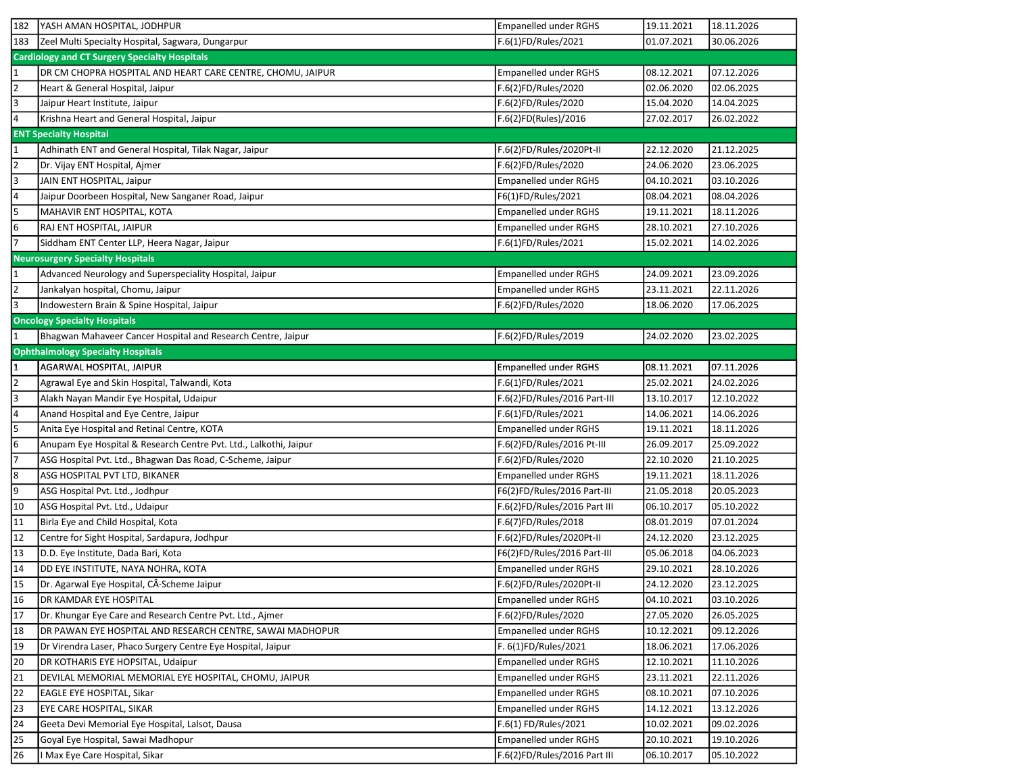| 182                     | YASH AMAN HOSPITAL, JODHPUR                                       | Empanelled under RGHS        | 19.11.2021 | 18.11.2026 |
|-------------------------|-------------------------------------------------------------------|------------------------------|------------|------------|
| 183                     | Zeel Multi Specialty Hospital, Sagwara, Dungarpur                 | F.6(1)FD/Rules/2021          | 01.07.2021 | 30.06.2026 |
|                         | <b>Cardiology and CT Surgery Specialty Hospitals</b>              |                              |            |            |
| $\overline{1}$          | DR CM CHOPRA HOSPITAL AND HEART CARE CENTRE, CHOMU, JAIPUR        | <b>Empanelled under RGHS</b> | 08.12.2021 | 07.12.2026 |
| $\overline{2}$          | Heart & General Hospital, Jaipur                                  | F.6(2)FD/Rules/2020          | 02.06.2020 | 02.06.2025 |
| 3                       | Jaipur Heart Institute, Jaipur                                    | F.6(2)FD/Rules/2020          | 15.04.2020 | 14.04.2025 |
| $\overline{4}$          | Krishna Heart and General Hospital, Jaipur                        | F.6(2)FD(Rules)/2016         | 27.02.2017 | 26.02.2022 |
|                         | <b>ENT Specialty Hospital</b>                                     |                              |            |            |
| $\overline{1}$          | Adhinath ENT and General Hospital, Tilak Nagar, Jaipur            | F.6(2)FD/Rules/2020Pt-II     | 22.12.2020 | 21.12.2025 |
| $\overline{2}$          | Dr. Vijay ENT Hospital, Ajmer                                     | F.6(2)FD/Rules/2020          | 24.06.2020 | 23.06.2025 |
| $\overline{\mathbf{e}}$ | JAIN ENT HOSPITAL, Jaipur                                         | Empanelled under RGHS        | 04.10.2021 | 03.10.2026 |
| $\overline{\mathbf{r}}$ | Jaipur Doorbeen Hospital, New Sanganer Road, Jaipur               | F6(1)FD/Rules/2021           | 08.04.2021 | 08.04.2026 |
| 5                       | MAHAVIR ENT HOSPITAL, KOTA                                        | Empanelled under RGHS        | 19.11.2021 | 18.11.2026 |
| $6\phantom{1}6$         | RAJ ENT HOSPITAL, JAIPUR                                          | <b>Empanelled under RGHS</b> | 28.10.2021 | 27.10.2026 |
| $\overline{7}$          | Siddham ENT Center LLP, Heera Nagar, Jaipur                       | F.6(1)FD/Rules/2021          | 15.02.2021 | 14.02.2026 |
|                         | <b>Neurosurgery Specialty Hospitals</b>                           |                              |            |            |
| $\mathbf{1}$            | Advanced Neurology and Superspeciality Hospital, Jaipur           | Empanelled under RGHS        | 24.09.2021 | 23.09.2026 |
| $\overline{2}$          | Jankalyan hospital, Chomu, Jaipur                                 | Empanelled under RGHS        | 23.11.2021 | 22.11.2026 |
| 3                       | Indowestern Brain & Spine Hospital, Jaipur                        | F.6(2)FD/Rules/2020          | 18.06.2020 | 17.06.2025 |
|                         | <b>Oncology Specialty Hospitals</b>                               |                              |            |            |
| $\overline{1}$          | Bhagwan Mahaveer Cancer Hospital and Research Centre, Jaipur      | F.6(2)FD/Rules/2019          | 24.02.2020 | 23.02.2025 |
|                         | <b>Ophthalmology Specialty Hospitals</b>                          |                              |            |            |
| $\mathbf 1$             | AGARWAL HOSPITAL, JAIPUR                                          | <b>Empanelled under RGHS</b> | 08.11.2021 | 07.11.2026 |
| $\overline{2}$          | Agrawal Eye and Skin Hospital, Talwandi, Kota                     | F.6(1)FD/Rules/2021          | 25.02.2021 | 24.02.2026 |
| З                       | Alakh Nayan Mandir Eye Hospital, Udaipur                          | F.6(2)FD/Rules/2016 Part-III | 13.10.2017 | 12.10.2022 |
| $\overline{a}$          | Anand Hospital and Eye Centre, Jaipur                             | F.6(1)FD/Rules/2021          | 14.06.2021 | 14.06.2026 |
| $\overline{5}$          | Anita Eye Hospital and Retinal Centre, KOTA                       | <b>Empanelled under RGHS</b> | 19.11.2021 | 18.11.2026 |
| $6\phantom{a}$          | Anupam Eye Hospital & Research Centre Pvt. Ltd., Lalkothi, Jaipur | F.6(2)FD/Rules/2016 Pt-III   | 26.09.2017 | 25.09.2022 |
| $\overline{7}$          | ASG Hospital Pvt. Ltd., Bhagwan Das Road, C-Scheme, Jaipur        | F.6(2)FD/Rules/2020          | 22.10.2020 | 21.10.2025 |
| 8                       | ASG HOSPITAL PVT LTD, BIKANER                                     | <b>Empanelled under RGHS</b> | 19.11.2021 | 18.11.2026 |
| $\overline{9}$          | ASG Hospital Pvt. Ltd., Jodhpur                                   | F6(2)FD/Rules/2016 Part-III  | 21.05.2018 | 20.05.2023 |
| 10                      | ASG Hospital Pvt. Ltd., Udaipur                                   | F.6(2)FD/Rules/2016 Part III | 06.10.2017 | 05.10.2022 |
| 11                      | Birla Eye and Child Hospital, Kota                                | F.6(7)FD/Rules/2018          | 08.01.2019 | 07.01.2024 |
| 12                      | Centre for Sight Hospital, Sardapura, Jodhpur                     | F.6(2)FD/Rules/2020Pt-II     | 24.12.2020 | 23.12.2025 |
| 13                      | D.D. Eye Institute, Dada Bari, Kota                               | F6(2)FD/Rules/2016 Part-III  | 05.06.2018 | 04.06.2023 |
| 14                      | DD EYE INSTITUTE, NAYA NOHRA, KOTA                                | Empanelled under RGHS        | 29.10.2021 | 28.10.2026 |
| 15                      | Dr. Agarwal Eye Hospital, CÂ Scheme Jaipur                        | F.6(2)FD/Rules/2020Pt-II     | 24.12.2020 | 23.12.2025 |
| 16                      | DR KAMDAR EYE HOSPITAL                                            | Empanelled under RGHS        | 04.10.2021 | 03.10.2026 |
| 17                      | Dr. Khungar Eye Care and Research Centre Pvt. Ltd., Ajmer         | F.6(2)FD/Rules/2020          | 27.05.2020 | 26.05.2025 |
| 18                      | DR PAWAN EYE HOSPITAL AND RESEARCH CENTRE, SAWAI MADHOPUR         | <b>Empanelled under RGHS</b> | 10.12.2021 | 09.12.2026 |
| 19                      | Dr Virendra Laser, Phaco Surgery Centre Eye Hospital, Jaipur      | F. 6(1)FD/Rules/2021         | 18.06.2021 | 17.06.2026 |
| 20                      | DR KOTHARIS EYE HOPSITAL, Udaipur                                 | <b>Empanelled under RGHS</b> | 12.10.2021 | 11.10.2026 |
| 21                      | DEVILAL MEMORIAL MEMORIAL EYE HOSPITAL, CHOMU, JAIPUR             | <b>Empanelled under RGHS</b> | 23.11.2021 | 22.11.2026 |
| 22                      | EAGLE EYE HOSPITAL, Sikar                                         | <b>Empanelled under RGHS</b> | 08.10.2021 | 07.10.2026 |
| 23                      | EYE CARE HOSPITAL, SIKAR                                          | Empanelled under RGHS        | 14.12.2021 | 13.12.2026 |
| 24                      | Geeta Devi Memorial Eye Hospital, Lalsot, Dausa                   | F.6(1) FD/Rules/2021         | 10.02.2021 | 09.02.2026 |
| 25                      | Goyal Eye Hospital, Sawai Madhopur                                | <b>Empanelled under RGHS</b> | 20.10.2021 | 19.10.2026 |
| 26                      | I Max Eye Care Hospital, Sikar                                    | F.6(2)FD/Rules/2016 Part III | 06.10.2017 | 05.10.2022 |
|                         |                                                                   |                              |            |            |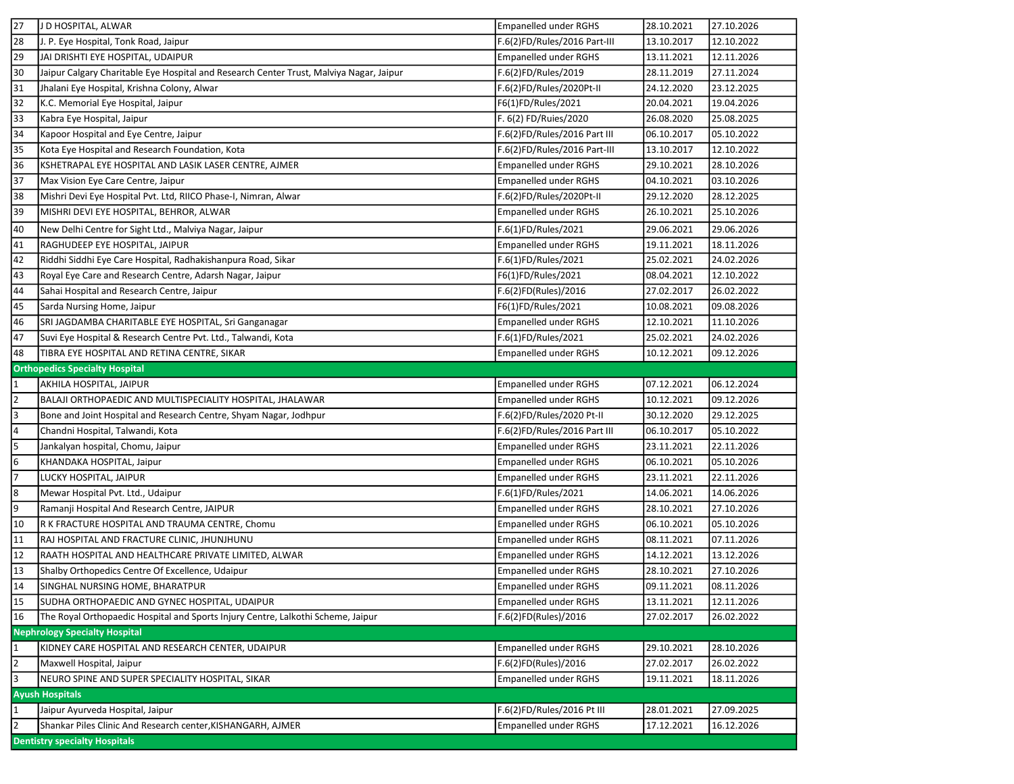| 27                  | J D HOSPITAL, ALWAR                                                                     | <b>Empanelled under RGHS</b>                         | 28.10.2021 | 27.10.2026 |
|---------------------|-----------------------------------------------------------------------------------------|------------------------------------------------------|------------|------------|
| 28                  | J. P. Eye Hospital, Tonk Road, Jaipur                                                   | F.6(2)FD/Rules/2016 Part-III                         | 13.10.2017 | 12.10.2022 |
| 29                  | JAI DRISHTI EYE HOSPITAL, UDAIPUR                                                       | Empanelled under RGHS                                | 13.11.2021 | 12.11.2026 |
| 30                  | Jaipur Calgary Charitable Eye Hospital and Research Center Trust, Malviya Nagar, Jaipur | F.6(2)FD/Rules/2019                                  | 28.11.2019 | 27.11.2024 |
| 31                  | Jhalani Eye Hospital, Krishna Colony, Alwar                                             | F.6(2)FD/Rules/2020Pt-II                             | 24.12.2020 | 23.12.2025 |
| 32                  | K.C. Memorial Eye Hospital, Jaipur                                                      | F6(1)FD/Rules/2021                                   | 20.04.2021 | 19.04.2026 |
| 33                  | Kabra Eye Hospital, Jaipur                                                              | F. 6(2) FD/Ruies/2020                                | 26.08.2020 | 25.08.2025 |
| 34                  | Kapoor Hospital and Eye Centre, Jaipur                                                  | F.6(2)FD/Rules/2016 Part III                         | 06.10.2017 | 05.10.2022 |
| 35                  | Kota Eye Hospital and Research Foundation, Kota                                         | F.6(2)FD/Rules/2016 Part-III                         | 13.10.2017 | 12.10.2022 |
| 36                  | KSHETRAPAL EYE HOSPITAL AND LASIK LASER CENTRE, AJMER                                   | <b>Empanelled under RGHS</b>                         | 29.10.2021 | 28.10.2026 |
| 37                  | Max Vision Eye Care Centre, Jaipur                                                      | <b>Empanelled under RGHS</b>                         | 04.10.2021 | 03.10.2026 |
| 38                  | Mishri Devi Eye Hospital Pvt. Ltd, RIICO Phase-I, Nimran, Alwar                         | F.6(2)FD/Rules/2020Pt-II                             | 29.12.2020 | 28.12.2025 |
| 39                  | MISHRI DEVI EYE HOSPITAL, BEHROR, ALWAR                                                 | Empanelled under RGHS                                | 26.10.2021 | 25.10.2026 |
| 40                  | New Delhi Centre for Sight Ltd., Malviya Nagar, Jaipur                                  | F.6(1)FD/Rules/2021                                  | 29.06.2021 | 29.06.2026 |
| 41                  | RAGHUDEEP EYE HOSPITAL, JAIPUR                                                          | Empanelled under RGHS                                | 19.11.2021 | 18.11.2026 |
| 42                  | Riddhi Siddhi Eye Care Hospital, Radhakishanpura Road, Sikar                            | F.6(1)FD/Rules/2021                                  | 25.02.2021 | 24.02.2026 |
| 43                  | Royal Eye Care and Research Centre, Adarsh Nagar, Jaipur                                | F6(1)FD/Rules/2021                                   | 08.04.2021 | 12.10.2022 |
| 44                  | Sahai Hospital and Research Centre, Jaipur                                              | F.6(2)FD(Rules)/2016                                 | 27.02.2017 | 26.02.2022 |
| 45                  | Sarda Nursing Home, Jaipur                                                              | F6(1)FD/Rules/2021                                   | 10.08.2021 | 09.08.2026 |
| 46                  | SRI JAGDAMBA CHARITABLE EYE HOSPITAL, Sri Ganganagar                                    | Empanelled under RGHS                                | 12.10.2021 | 11.10.2026 |
| 47                  | Suvi Eye Hospital & Research Centre Pvt. Ltd., Talwandi, Kota                           | F.6(1)FD/Rules/2021                                  | 25.02.2021 | 24.02.2026 |
| 48                  | TIBRA EYE HOSPITAL AND RETINA CENTRE, SIKAR                                             | <b>Empanelled under RGHS</b>                         | 10.12.2021 | 09.12.2026 |
|                     | <b>Orthopedics Specialty Hospital</b>                                                   |                                                      |            |            |
| 11                  | AKHILA HOSPITAL, JAIPUR                                                                 | <b>Empanelled under RGHS</b>                         | 07.12.2021 | 06.12.2024 |
| $\overline{2}$      | BALAJI ORTHOPAEDIC AND MULTISPECIALITY HOSPITAL, JHALAWAR                               | <b>Empanelled under RGHS</b>                         | 10.12.2021 | 09.12.2026 |
| $\overline{3}$      | Bone and Joint Hospital and Research Centre, Shyam Nagar, Jodhpur                       | F.6(2)FD/Rules/2020 Pt-II                            | 30.12.2020 | 29.12.2025 |
| 4                   | Chandni Hospital, Talwandi, Kota                                                        | F.6(2)FD/Rules/2016 Part III                         | 06.10.2017 | 05.10.2022 |
| 5                   | Jankalyan hospital, Chomu, Jaipur                                                       | <b>Empanelled under RGHS</b>                         | 23.11.2021 | 22.11.2026 |
| 6                   | KHANDAKA HOSPITAL, Jaipur                                                               | Empanelled under RGHS                                | 06.10.2021 | 05.10.2026 |
| 17                  | LUCKY HOSPITAL, JAIPUR                                                                  | Empanelled under RGHS                                | 23.11.2021 | 22.11.2026 |
| 8                   | Mewar Hospital Pvt. Ltd., Udaipur                                                       | F.6(1)FD/Rules/2021                                  | 14.06.2021 | 14.06.2026 |
| 9                   | Ramanji Hospital And Research Centre, JAIPUR                                            | <b>Empanelled under RGHS</b>                         | 28.10.2021 | 27.10.2026 |
| 10                  | R K FRACTURE HOSPITAL AND TRAUMA CENTRE, Chomu                                          | <b>Empanelled under RGHS</b>                         | 06.10.2021 | 05.10.2026 |
| 11                  | RAJ HOSPITAL AND FRACTURE CLINIC, JHUNJHUNU                                             | <b>Empanelled under RGHS</b>                         | 08.11.2021 | 07.11.2026 |
| 12                  | RAATH HOSPITAL AND HEALTHCARE PRIVATE LIMITED, ALWAR                                    | <b>Empanelled under RGHS</b>                         | 14.12.2021 | 13.12.2026 |
| 13                  | Shalby Orthopedics Centre Of Excellence, Udaipur                                        | <b>Empanelled under RGHS</b>                         | 28.10.2021 | 27.10.2026 |
| 14                  | SINGHAL NURSING HOME, BHARATPUR                                                         | <b>Empanelled under RGHS</b>                         | 09.11.2021 | 08.11.2026 |
| 15                  | SUDHA ORTHOPAEDIC AND GYNEC HOSPITAL, UDAIPUR                                           | <b>Empanelled under RGHS</b>                         | 13.11.2021 | 12.11.2026 |
| 16                  | The Royal Orthopaedic Hospital and Sports Injury Centre, Lalkothi Scheme, Jaipur        | F.6(2)FD(Rules)/2016                                 | 27.02.2017 | 26.02.2022 |
|                     | <b>Nephrology Specialty Hospital</b>                                                    |                                                      |            |            |
| 1                   | KIDNEY CARE HOSPITAL AND RESEARCH CENTER, UDAIPUR                                       | <b>Empanelled under RGHS</b>                         | 29.10.2021 | 28.10.2026 |
| 2<br>3              | Maxwell Hospital, Jaipur                                                                | F.6(2)FD(Rules)/2016<br><b>Empanelled under RGHS</b> | 27.02.2017 | 26.02.2022 |
|                     | NEURO SPINE AND SUPER SPECIALITY HOSPITAL, SIKAR                                        |                                                      | 19.11.2021 | 18.11.2026 |
|                     | <b>Ayush Hospitals</b><br>Jaipur Ayurveda Hospital, Jaipur                              |                                                      |            |            |
| 1<br>$\overline{2}$ |                                                                                         | F.6(2)FD/Rules/2016 Pt III                           | 28.01.2021 | 27.09.2025 |
|                     | Shankar Piles Clinic And Research center, KISHANGARH, AJMER                             | <b>Empanelled under RGHS</b>                         | 17.12.2021 | 16.12.2026 |
|                     | <b>Dentistry specialty Hospitals</b>                                                    |                                                      |            |            |